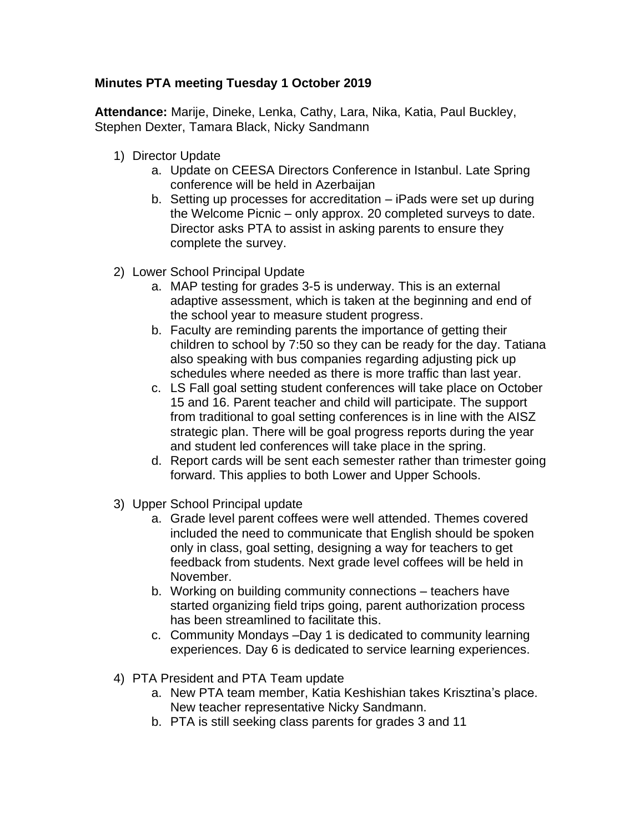## **Minutes PTA meeting Tuesday 1 October 2019**

**Attendance:** Marije, Dineke, Lenka, Cathy, Lara, Nika, Katia, Paul Buckley, Stephen Dexter, Tamara Black, Nicky Sandmann

- 1) Director Update
	- a. Update on CEESA Directors Conference in Istanbul. Late Spring conference will be held in Azerbaijan
	- b. Setting up processes for accreditation iPads were set up during the Welcome Picnic – only approx. 20 completed surveys to date. Director asks PTA to assist in asking parents to ensure they complete the survey.
- 2) Lower School Principal Update
	- a. MAP testing for grades 3-5 is underway. This is an external adaptive assessment, which is taken at the beginning and end of the school year to measure student progress.
	- b. Faculty are reminding parents the importance of getting their children to school by 7:50 so they can be ready for the day. Tatiana also speaking with bus companies regarding adjusting pick up schedules where needed as there is more traffic than last year.
	- c. LS Fall goal setting student conferences will take place on October 15 and 16. Parent teacher and child will participate. The support from traditional to goal setting conferences is in line with the AISZ strategic plan. There will be goal progress reports during the year and student led conferences will take place in the spring.
	- d. Report cards will be sent each semester rather than trimester going forward. This applies to both Lower and Upper Schools.
- 3) Upper School Principal update
	- a. Grade level parent coffees were well attended. Themes covered included the need to communicate that English should be spoken only in class, goal setting, designing a way for teachers to get feedback from students. Next grade level coffees will be held in November.
	- b. Working on building community connections teachers have started organizing field trips going, parent authorization process has been streamlined to facilitate this.
	- c. Community Mondays –Day 1 is dedicated to community learning experiences. Day 6 is dedicated to service learning experiences.
- 4) PTA President and PTA Team update
	- a. New PTA team member, Katia Keshishian takes Krisztina's place. New teacher representative Nicky Sandmann.
	- b. PTA is still seeking class parents for grades 3 and 11